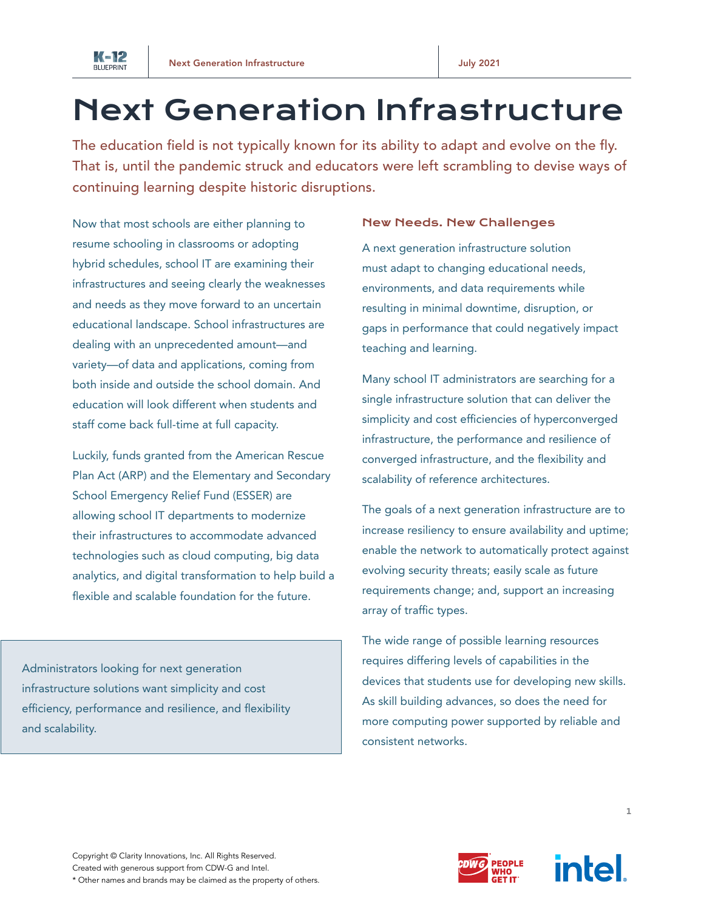

# Next Generation Infrastructure

The education field is not typically known for its ability to adapt and evolve on the fly. That is, until the pandemic struck and educators were left scrambling to devise ways of continuing learning despite historic disruptions.

Now that most schools are either planning to resume schooling in classrooms or adopting hybrid schedules, school IT are examining their infrastructures and seeing clearly the weaknesses and needs as they move forward to an uncertain educational landscape. School infrastructures are dealing with an unprecedented amount—and variety—of data and applications, coming from both inside and outside the school domain. And education will look different when students and staff come back full-time at full capacity.

Luckily, funds granted from the American Rescue Plan Act (ARP) and the Elementary and Secondary School Emergency Relief Fund (ESSER) are allowing school IT departments to modernize their infrastructures to accommodate advanced technologies such as cloud computing, big data analytics, and digital transformation to help build a flexible and scalable foundation for the future.

Administrators looking for next generation infrastructure solutions want simplicity and cost efficiency, performance and resilience, and flexibility and scalability.

## New Needs. New Challenges

A next generation infrastructure solution must adapt to changing educational needs, environments, and data requirements while resulting in minimal downtime, disruption, or gaps in performance that could negatively impact teaching and learning.

Many school IT administrators are searching for a single infrastructure solution that can deliver the simplicity and cost efficiencies of hyperconverged infrastructure, the performance and resilience of converged infrastructure, and the flexibility and scalability of reference architectures.

The goals of a next generation infrastructure are to increase resiliency to ensure availability and uptime; enable the network to automatically protect against evolving security threats; easily scale as future requirements change; and, support an increasing array of traffic types.

The wide range of possible learning resources requires differing levels of capabilities in the devices that students use for developing new skills. As skill building advances, so does the need for more computing power supported by reliable and consistent networks.



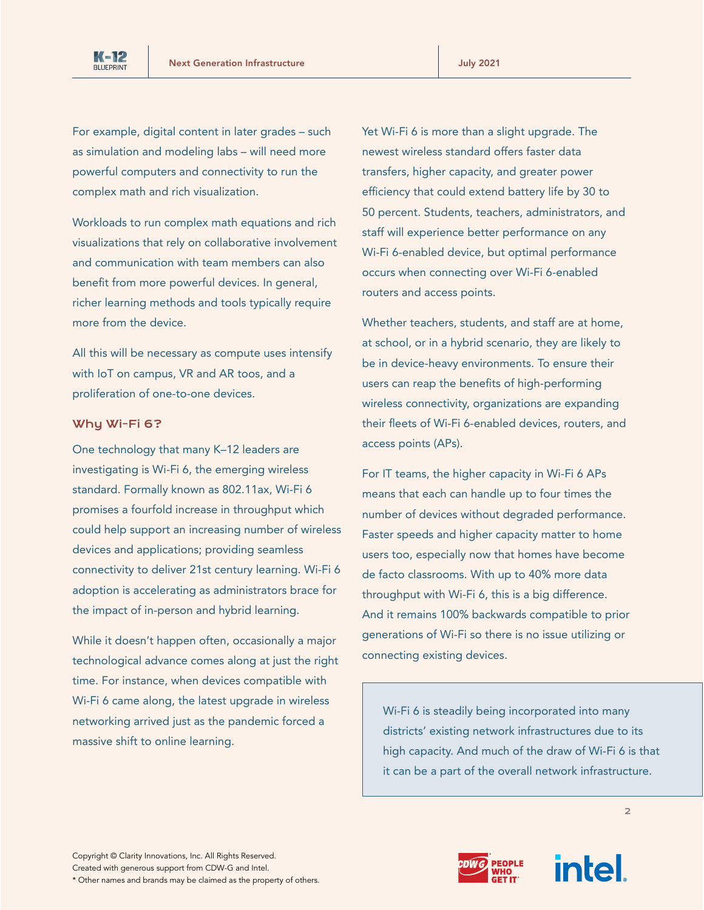

For example, digital content in later grades – such as simulation and modeling labs – will need more powerful computers and connectivity to run the complex math and rich visualization.

Workloads to run complex math equations and rich visualizations that rely on collaborative involvement and communication with team members can also benefit from more powerful devices. In general, richer learning methods and tools typically require more from the device.

All this will be necessary as compute uses intensify with IoT on campus, VR and AR toos, and a proliferation of one-to-one devices.

#### Why Wi-Fi 6?

One technology that many K–12 leaders are investigating is Wi-Fi 6, the emerging wireless standard. Formally known as 802.11ax, Wi-Fi 6 promises a fourfold increase in throughput which could help support an increasing number of wireless devices and applications; providing seamless connectivity to deliver 21st century learning. Wi-Fi 6 adoption is accelerating as administrators brace for the impact of in-person and hybrid learning.

While it doesn't happen often, occasionally a major technological advance comes along at just the right time. For instance, when devices compatible with Wi-Fi 6 came along, the latest upgrade in wireless networking arrived just as the pandemic forced a massive shift to online learning.

Yet Wi-Fi 6 is more than a slight upgrade. The newest wireless standard offers faster data transfers, higher capacity, and greater power efficiency that could extend battery life by 30 to 50 percent. Students, teachers, administrators, and staff will experience better performance on any Wi-Fi 6-enabled device, but optimal performance occurs when connecting over Wi-Fi 6-enabled routers and access points.

Whether teachers, students, and staff are at home, at school, or in a hybrid scenario, they are likely to be in device-heavy environments. To ensure their users can reap the benefits of high-performing wireless connectivity, organizations are expanding their fleets of Wi-Fi 6-enabled devices, routers, and access points (APs).

For IT teams, the higher capacity in Wi-Fi 6 APs means that each can handle up to four times the number of devices without degraded performance. Faster speeds and higher capacity matter to home users too, especially now that homes have become de facto classrooms. With up to 40% more data throughput with Wi-Fi 6, this is a big difference. And it remains 100% backwards compatible to prior generations of Wi-Fi so there is no issue utilizing or connecting existing devices.

Wi-Fi 6 is steadily being incorporated into many districts' existing network infrastructures due to its high capacity. And much of the draw of Wi-Fi 6 is that it can be a part of the overall network infrastructure.



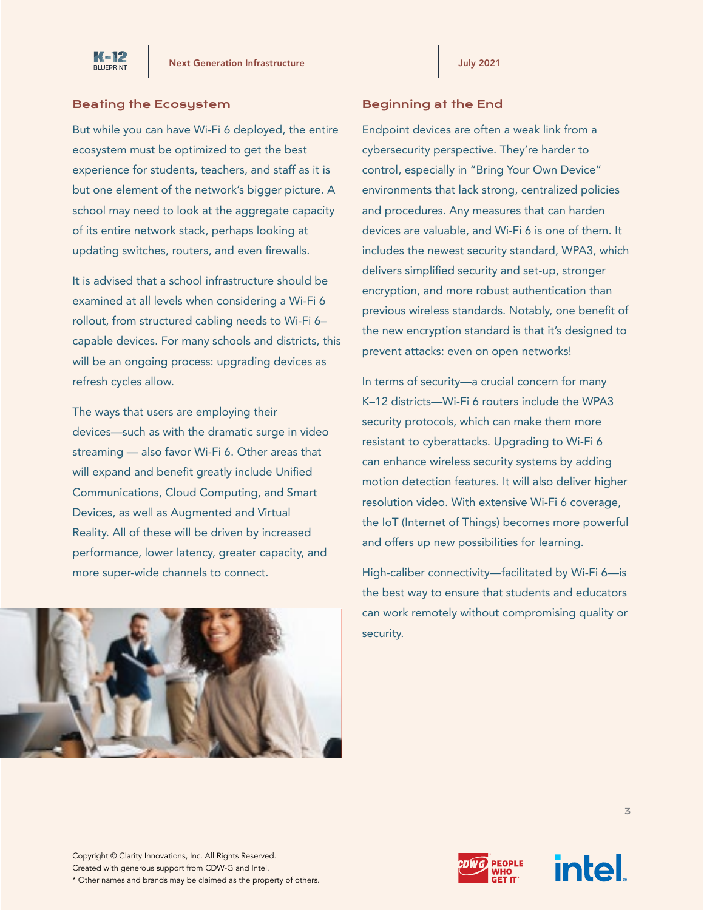# Beating the Ecosystem

But while you can have Wi-Fi 6 deployed, the entire ecosystem must be optimized to get the best experience for students, teachers, and staff as it is but one element of the network's bigger picture. A school may need to look at the aggregate capacity of its entire network stack, perhaps looking at updating switches, routers, and even firewalls.

It is advised that a school infrastructure should be examined at all levels when considering a Wi-Fi 6 rollout, from structured cabling needs to Wi-Fi 6– capable devices. For many schools and districts, this will be an ongoing process: upgrading devices as refresh cycles allow.

The ways that users are employing their devices—such as with the dramatic surge in video streaming — also favor Wi-Fi 6. Other areas that will expand and benefit greatly include Unified Communications, Cloud Computing, and Smart Devices, as well as Augmented and Virtual Reality. All of these will be driven by increased performance, lower latency, greater capacity, and more super-wide channels to connect.



# Beginning at the End

Endpoint devices are often a weak link from a cybersecurity perspective. They're harder to control, especially in "Bring Your Own Device" environments that lack strong, centralized policies and procedures. Any measures that can harden devices are valuable, and Wi-Fi 6 is one of them. It includes the newest security standard, WPA3, which delivers simplified security and set-up, stronger encryption, and more robust authentication than previous wireless standards. Notably, one benefit of the new encryption standard is that it's designed to prevent attacks: even on open networks!

In terms of security—a crucial concern for many K–12 districts—Wi-Fi 6 routers include the WPA3 security protocols, which can make them more resistant to cyberattacks. Upgrading to Wi-Fi 6 can enhance wireless security systems by adding motion detection features. It will also deliver higher resolution video. With extensive Wi-Fi 6 coverage, the IoT (Internet of Things) becomes more powerful and offers up new possibilities for learning.

High-caliber connectivity—facilitated by Wi-Fi 6—is the best way to ensure that students and educators can work remotely without compromising quality or security.

Copyright © Clarity Innovations, Inc. All Rights Reserved. Created with generous support from CDW-G and Intel. \* Other names and brands may be claimed as the property of others.



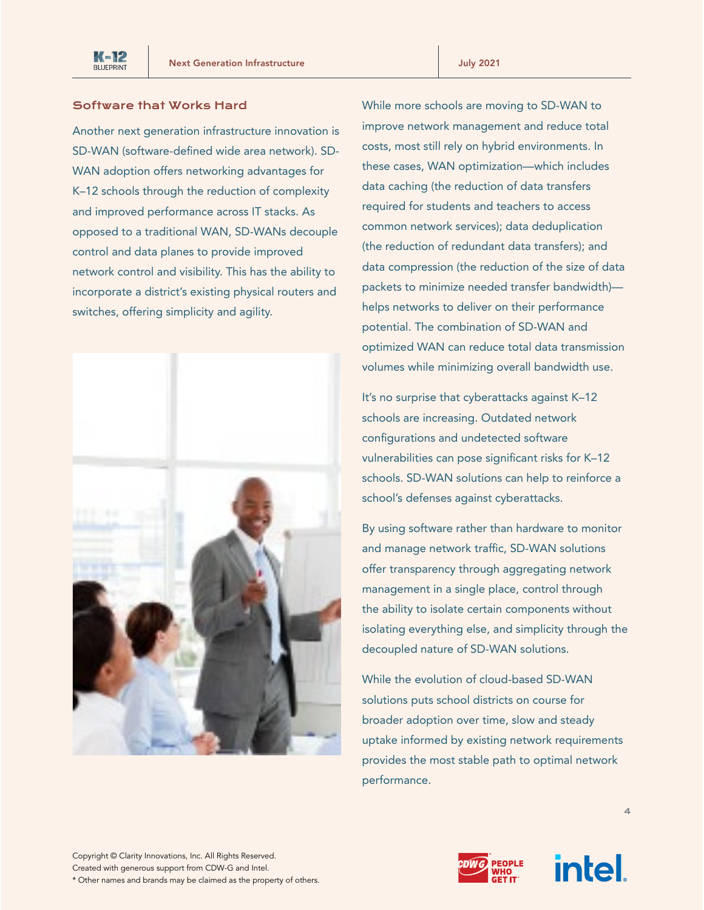

#### Software that Works Hard

Another next generation infrastructure innovation is SD-WAN (software-defined wide area network). SD-WAN adoption offers networking advantages for K–12 schools through the reduction of complexity and improved performance across IT stacks. As opposed to a traditional WAN, SD-WANs decouple control and data planes to provide improved network control and visibility. This has the ability to incorporate a district's existing physical routers and switches, offering simplicity and agility.



While more schools are moving to SD-WAN to improve network management and reduce total costs, most still rely on hybrid environments. In these cases, WAN optimization—which includes data caching (the reduction of data transfers required for students and teachers to access common network services); data deduplication (the reduction of redundant data transfers); and data compression (the reduction of the size of data packets to minimize needed transfer bandwidth) helps networks to deliver on their performance potential. The combination of SD-WAN and optimized WAN can reduce total data transmission volumes while minimizing overall bandwidth use.

It's no surprise that cyberattacks against K–12 schools are increasing. Outdated network configurations and undetected software vulnerabilities can pose significant risks for K–12 schools. SD-WAN solutions can help to reinforce a school's defenses against cyberattacks.

By using software rather than hardware to monitor and manage network traffic, SD-WAN solutions offer transparency through aggregating network management in a single place, control through the ability to isolate certain components without isolating everything else, and simplicity through the decoupled nature of SD-WAN solutions.

While the evolution of cloud-based SD-WAN solutions puts school districts on course for broader adoption over time, slow and steady uptake informed by existing network requirements provides the most stable path to optimal network performance.